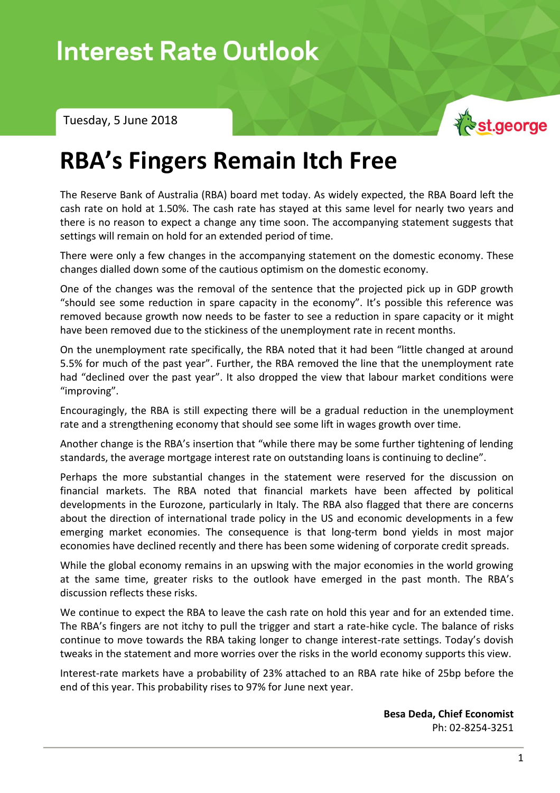Tuesday, 5 June 2018



## **RBA's Fingers Remain Itch Free**

The Reserve Bank of Australia (RBA) board met today. As widely expected, the RBA Board left the cash rate on hold at 1.50%. The cash rate has stayed at this same level for nearly two years and there is no reason to expect a change any time soon. The accompanying statement suggests that settings will remain on hold for an extended period of time.

There were only a few changes in the accompanying statement on the domestic economy. These changes dialled down some of the cautious optimism on the domestic economy.

One of the changes was the removal of the sentence that the projected pick up in GDP growth "should see some reduction in spare capacity in the economy". It's possible this reference was removed because growth now needs to be faster to see a reduction in spare capacity or it might have been removed due to the stickiness of the unemployment rate in recent months.

On the unemployment rate specifically, the RBA noted that it had been "little changed at around 5.5% for much of the past year". Further, the RBA removed the line that the unemployment rate had "declined over the past year". It also dropped the view that labour market conditions were "improving".

Encouragingly, the RBA is still expecting there will be a gradual reduction in the unemployment rate and a strengthening economy that should see some lift in wages growth over time.

Another change is the RBA's insertion that "while there may be some further tightening of lending standards, the average mortgage interest rate on outstanding loans is continuing to decline".

Perhaps the more substantial changes in the statement were reserved for the discussion on financial markets. The RBA noted that financial markets have been affected by political developments in the Eurozone, particularly in Italy. The RBA also flagged that there are concerns about the direction of international trade policy in the US and economic developments in a few emerging market economies. The consequence is that long-term bond yields in most major economies have declined recently and there has been some widening of corporate credit spreads.

While the global economy remains in an upswing with the major economies in the world growing at the same time, greater risks to the outlook have emerged in the past month. The RBA's discussion reflects these risks.

We continue to expect the RBA to leave the cash rate on hold this year and for an extended time. The RBA's fingers are not itchy to pull the trigger and start a rate-hike cycle. The balance of risks continue to move towards the RBA taking longer to change interest-rate settings. Today's dovish tweaks in the statement and more worries over the risks in the world economy supports this view.

Interest-rate markets have a probability of 23% attached to an RBA rate hike of 25bp before the end of this year. This probability rises to 97% for June next year.

> **Besa Deda, Chief Economist** Ph: 02-8254-3251